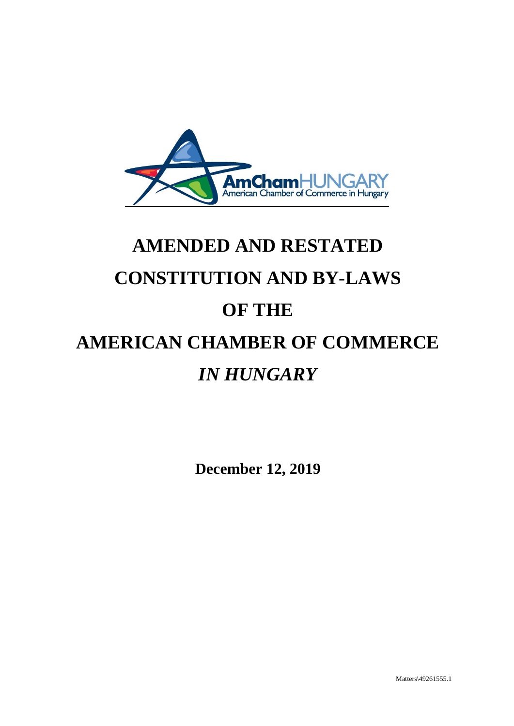

# **AMENDED AND RESTATED CONSTITUTION AND BY-LAWS OF THE AMERICAN CHAMBER OF COMMERCE** *IN HUNGARY*

**December 12, 2019**

Matters\49261555.1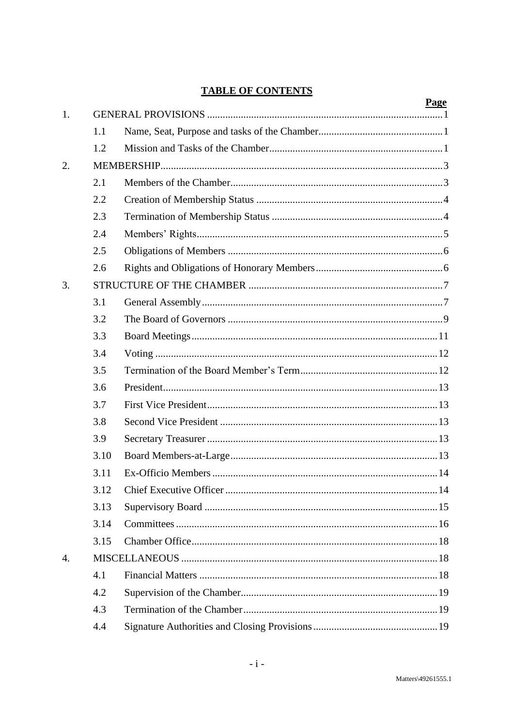# **TABLE OF CONTENTS**

|    |      | <u>Page</u> |  |  |
|----|------|-------------|--|--|
| 1. |      |             |  |  |
|    | 1.1  |             |  |  |
|    | 1.2  |             |  |  |
| 2. |      |             |  |  |
|    | 2.1  |             |  |  |
|    | 2.2  |             |  |  |
|    | 2.3  |             |  |  |
|    | 2.4  |             |  |  |
|    | 2.5  |             |  |  |
|    | 2.6  |             |  |  |
| 3. |      |             |  |  |
|    | 3.1  |             |  |  |
|    | 3.2  |             |  |  |
|    | 3.3  |             |  |  |
|    | 3.4  |             |  |  |
|    | 3.5  |             |  |  |
|    | 3.6  |             |  |  |
|    | 3.7  |             |  |  |
|    | 3.8  |             |  |  |
|    | 3.9  |             |  |  |
|    | 3.10 |             |  |  |
|    | 3.11 |             |  |  |
|    | 3.12 |             |  |  |
|    | 3.13 |             |  |  |
|    | 3.14 |             |  |  |
|    | 3.15 |             |  |  |
| 4. |      |             |  |  |
|    | 4.1  |             |  |  |
|    | 4.2  |             |  |  |
|    | 4.3  |             |  |  |
|    | 4.4  |             |  |  |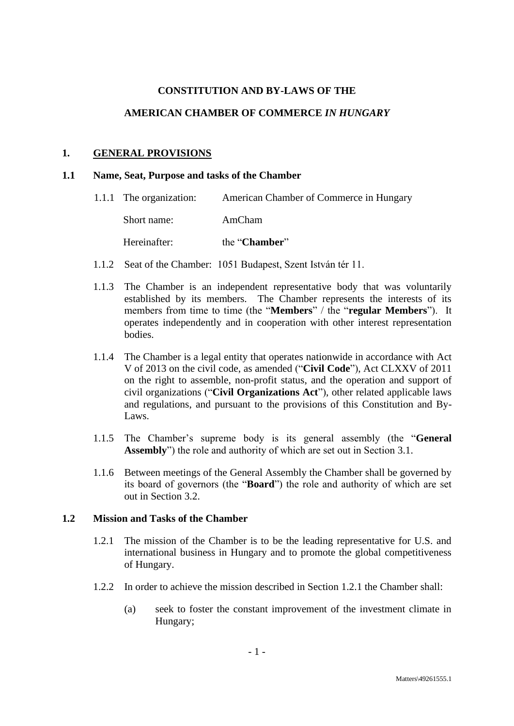## **CONSTITUTION AND BY-LAWS OF THE**

## **AMERICAN CHAMBER OF COMMERCE** *IN HUNGARY*

#### **1. GENERAL PROVISIONS**

#### **1.1 Name, Seat, Purpose and tasks of the Chamber**

- 1.1.1 The organization: American Chamber of Commerce in Hungary Short name: AmCham Hereinafter: the "**Chamber**"
- 1.1.2 Seat of the Chamber: 1051 Budapest, Szent István tér 11.
- 1.1.3 The Chamber is an independent representative body that was voluntarily established by its members. The Chamber represents the interests of its members from time to time (the "**Members**" / the "**regular Members**"). It operates independently and in cooperation with other interest representation bodies.
- 1.1.4 The Chamber is a legal entity that operates nationwide in accordance with Act V of 2013 on the civil code, as amended ("**Civil Code**"), Act CLXXV of 2011 on the right to assemble, non-profit status, and the operation and support of civil organizations ("**Civil Organizations Act**"), other related applicable laws and regulations, and pursuant to the provisions of this Constitution and By-Laws.
- 1.1.5 The Chamber's supreme body is its general assembly (the "**General Assembly**") the role and authority of which are set out in Section [3.1.](#page-8-0)
- 1.1.6 Between meetings of the General Assembly the Chamber shall be governed by its board of governors (the "**Board**") the role and authority of which are set out in Section [3.2.](#page-10-0)

#### <span id="page-2-0"></span>**1.2 Mission and Tasks of the Chamber**

- 1.2.1 The mission of the Chamber is to be the leading representative for U.S. and international business in Hungary and to promote the global competitiveness of Hungary.
- <span id="page-2-1"></span>1.2.2 In order to achieve the mission described in Section [1.2.1](#page-2-0) the Chamber shall:
	- (a) seek to foster the constant improvement of the investment climate in Hungary;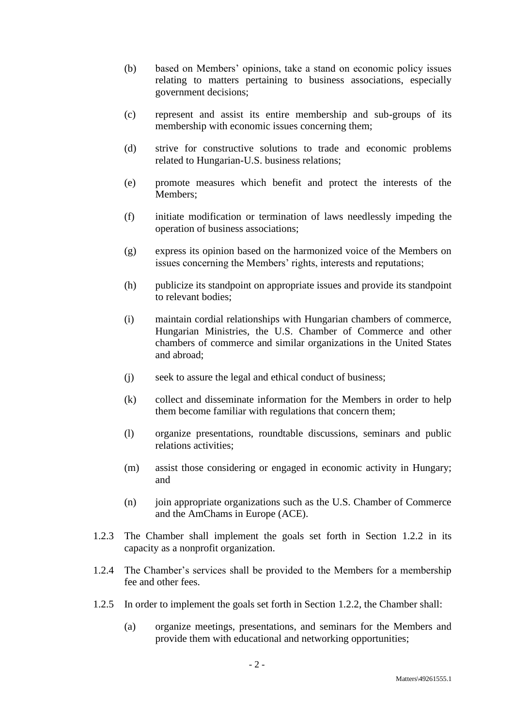- (b) based on Members' opinions, take a stand on economic policy issues relating to matters pertaining to business associations, especially government decisions;
- (c) represent and assist its entire membership and sub-groups of its membership with economic issues concerning them;
- (d) strive for constructive solutions to trade and economic problems related to Hungarian-U.S. business relations;
- (e) promote measures which benefit and protect the interests of the Members;
- (f) initiate modification or termination of laws needlessly impeding the operation of business associations;
- (g) express its opinion based on the harmonized voice of the Members on issues concerning the Members' rights, interests and reputations;
- (h) publicize its standpoint on appropriate issues and provide its standpoint to relevant bodies;
- (i) maintain cordial relationships with Hungarian chambers of commerce, Hungarian Ministries, the U.S. Chamber of Commerce and other chambers of commerce and similar organizations in the United States and abroad;
- (j) seek to assure the legal and ethical conduct of business;
- (k) collect and disseminate information for the Members in order to help them become familiar with regulations that concern them;
- (l) organize presentations, roundtable discussions, seminars and public relations activities;
- (m) assist those considering or engaged in economic activity in Hungary; and
- (n) join appropriate organizations such as the U.S. Chamber of Commerce and the AmChams in Europe (ACE).
- 1.2.3 The Chamber shall implement the goals set forth in Section [1.2.2](#page-2-1) in its capacity as a nonprofit organization.
- 1.2.4 The Chamber's services shall be provided to the Members for a membership fee and other fees.
- 1.2.5 In order to implement the goals set forth in Section [1.2.2,](#page-2-1) the Chamber shall:
	- (a) organize meetings, presentations, and seminars for the Members and provide them with educational and networking opportunities;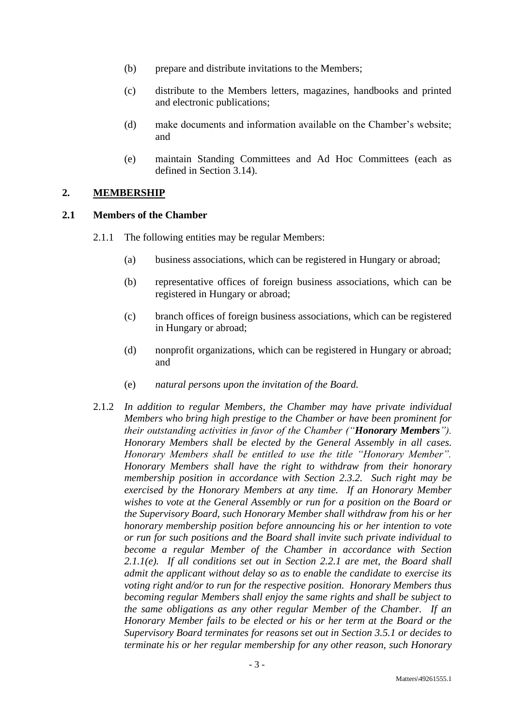- (b) prepare and distribute invitations to the Members;
- (c) distribute to the Members letters, magazines, handbooks and printed and electronic publications;
- (d) make documents and information available on the Chamber's website; and
- (e) maintain Standing Committees and Ad Hoc Committees (each as defined in Section [3.14\)](#page-17-0).

## **2. MEMBERSHIP**

#### **2.1 Members of the Chamber**

- 2.1.1 The following entities may be regular Members:
	- (a) business associations, which can be registered in Hungary or abroad;
	- (b) representative offices of foreign business associations, which can be registered in Hungary or abroad;
	- (c) branch offices of foreign business associations, which can be registered in Hungary or abroad;
	- (d) nonprofit organizations, which can be registered in Hungary or abroad; and
	- (e) *natural persons upon the invitation of the Board.*
- <span id="page-4-0"></span>2.1.2 *In addition to regular Members, the Chamber may have private individual Members who bring high prestige to the Chamber or have been prominent for their outstanding activities in favor of the Chamber ("Honorary Members"). Honorary Members shall be elected by the General Assembly in all cases. Honorary Members shall be entitled to use the title "Honorary Member". Honorary Members shall have the right to withdraw from their honorary membership position in accordance with Section [2.3.2.](#page-6-0) Such right may be exercised by the Honorary Members at any time. If an Honorary Member wishes to vote at the General Assembly or run for a position on the Board or the Supervisory Board, such Honorary Member shall withdraw from his or her honorary membership position before announcing his or her intention to vote or run for such positions and the Board shall invite such private individual to become a regular Member of the Chamber in accordance with Section [2.1.1\(e\).](#page-4-0) If all conditions set out in Section [2.2.1](#page-5-0) are met, the Board shall admit the applicant without delay so as to enable the candidate to exercise its voting right and/or to run for the respective position. Honorary Members thus becoming regular Members shall enjoy the same rights and shall be subject to the same obligations as any other regular Member of the Chamber. If an Honorary Member fails to be elected or his or her term at the Board or the Supervisory Board terminates for reasons set out in Section [3.5.1](#page-13-0) or decides to terminate his or her regular membership for any other reason, such Honorary*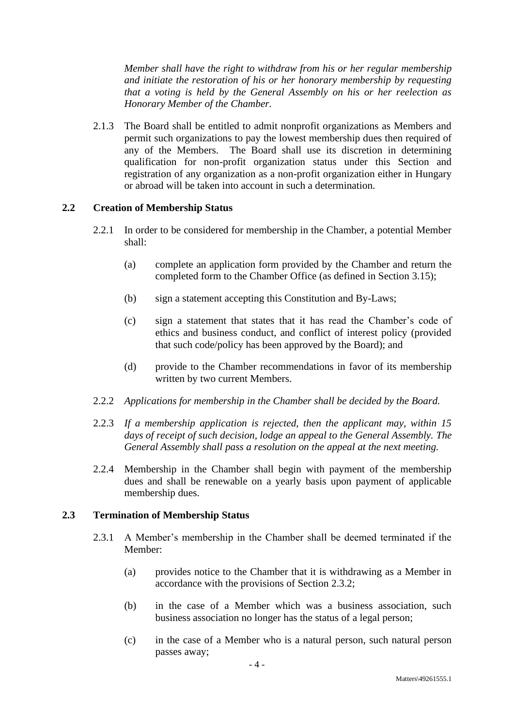*Member shall have the right to withdraw from his or her regular membership and initiate the restoration of his or her honorary membership by requesting that a voting is held by the General Assembly on his or her reelection as Honorary Member of the Chamber.* 

2.1.3 The Board shall be entitled to admit nonprofit organizations as Members and permit such organizations to pay the lowest membership dues then required of any of the Members. The Board shall use its discretion in determining qualification for non-profit organization status under this Section and registration of any organization as a non-profit organization either in Hungary or abroad will be taken into account in such a determination.

# <span id="page-5-0"></span>**2.2 Creation of Membership Status**

- 2.2.1 In order to be considered for membership in the Chamber, a potential Member shall:
	- (a) complete an application form provided by the Chamber and return the completed form to the Chamber Office (as defined in Section [3.15\)](#page-19-0);
	- (b) sign a statement accepting this Constitution and By-Laws;
	- (c) sign a statement that states that it has read the Chamber's code of ethics and business conduct, and conflict of interest policy (provided that such code/policy has been approved by the Board); and
	- (d) provide to the Chamber recommendations in favor of its membership written by two current Members.
- 2.2.2 *Applications for membership in the Chamber shall be decided by the Board.*
- 2.2.3 *If a membership application is rejected, then the applicant may, within 15 days of receipt of such decision, lodge an appeal to the General Assembly. The General Assembly shall pass a resolution on the appeal at the next meeting.*
- 2.2.4 Membership in the Chamber shall begin with payment of the membership dues and shall be renewable on a yearly basis upon payment of applicable membership dues.

## **2.3 Termination of Membership Status**

- 2.3.1 A Member's membership in the Chamber shall be deemed terminated if the Member:
	- (a) provides notice to the Chamber that it is withdrawing as a Member in accordance with the provisions of Section [2.3.2;](#page-6-0)
	- (b) in the case of a Member which was a business association, such business association no longer has the status of a legal person;
	- (c) in the case of a Member who is a natural person, such natural person passes away;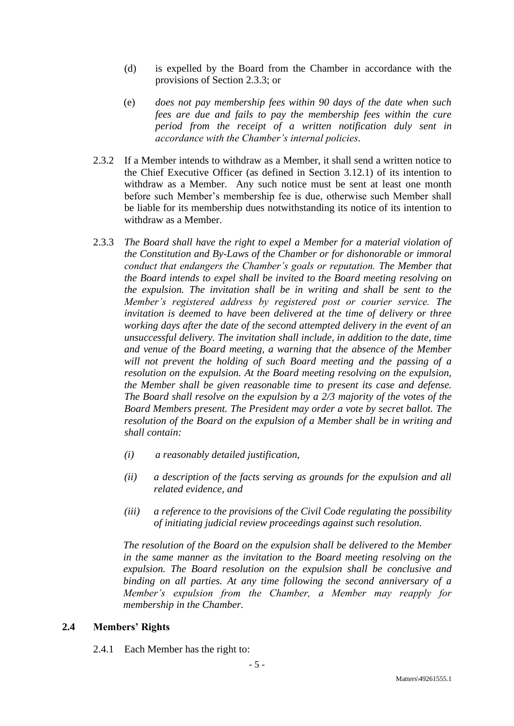- (d) is expelled by the Board from the Chamber in accordance with the provisions of Section [2.3.3;](#page-6-1) or
- (e) *does not pay membership fees within 90 days of the date when such fees are due and fails to pay the membership fees within the cure period from the receipt of a written notification duly sent in accordance with the Chamber's internal policies.*
- <span id="page-6-0"></span>2.3.2 If a Member intends to withdraw as a Member, it shall send a written notice to the Chief Executive Officer (as defined in Section [3.12.1\)](#page-15-0) of its intention to withdraw as a Member. Any such notice must be sent at least one month before such Member's membership fee is due, otherwise such Member shall be liable for its membership dues notwithstanding its notice of its intention to withdraw as a Member.
- <span id="page-6-1"></span>2.3.3 *The Board shall have the right to expel a Member for a material violation of the Constitution and By-Laws of the Chamber or for dishonorable or immoral conduct that endangers the Chamber's goals or reputation. The Member that the Board intends to expel shall be invited to the Board meeting resolving on the expulsion. The invitation shall be in writing and shall be sent to the Member's registered address by registered post or courier service. The invitation is deemed to have been delivered at the time of delivery or three working days after the date of the second attempted delivery in the event of an unsuccessful delivery. The invitation shall include, in addition to the date, time and venue of the Board meeting, a warning that the absence of the Member will not prevent the holding of such Board meeting and the passing of a resolution on the expulsion. At the Board meeting resolving on the expulsion, the Member shall be given reasonable time to present its case and defense. The Board shall resolve on the expulsion by a 2/3 majority of the votes of the Board Members present. The President may order a vote by secret ballot. The resolution of the Board on the expulsion of a Member shall be in writing and shall contain:*
	- *(i) a reasonably detailed justification,*
	- *(ii) a description of the facts serving as grounds for the expulsion and all related evidence, and*
	- *(iii) a reference to the provisions of the Civil Code regulating the possibility of initiating judicial review proceedings against such resolution.*

*The resolution of the Board on the expulsion shall be delivered to the Member in the same manner as the invitation to the Board meeting resolving on the expulsion. The Board resolution on the expulsion shall be conclusive and binding on all parties. At any time following the second anniversary of a Member's expulsion from the Chamber, a Member may reapply for membership in the Chamber.*

# **2.4 Members' Rights**

2.4.1 Each Member has the right to: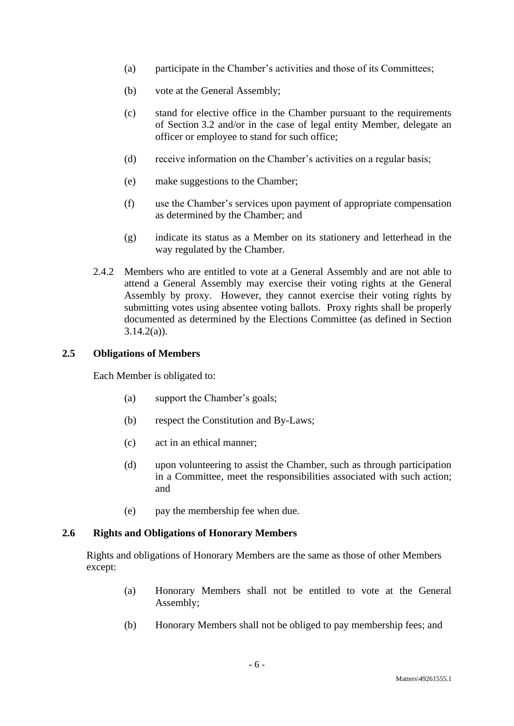- (a) participate in the Chamber's activities and those of its Committees;
- (b) vote at the General Assembly;
- (c) stand for elective office in the Chamber pursuant to the requirements of Section [3.2](#page-10-0) and/or in the case of legal entity Member, delegate an officer or employee to stand for such office;
- (d) receive information on the Chamber's activities on a regular basis;
- (e) make suggestions to the Chamber;
- (f) use the Chamber's services upon payment of appropriate compensation as determined by the Chamber; and
- (g) indicate its status as a Member on its stationery and letterhead in the way regulated by the Chamber.
- 2.4.2 Members who are entitled to vote at a General Assembly and are not able to attend a General Assembly may exercise their voting rights at the General Assembly by proxy. However, they cannot exercise their voting rights by submitting votes using absentee voting ballots. Proxy rights shall be properly documented as determined by the Elections Committee (as defined in Section  $3.14.2(a)$ ).

# **2.5 Obligations of Members**

Each Member is obligated to:

- (a) support the Chamber's goals;
- (b) respect the Constitution and By-Laws;
- (c) act in an ethical manner;
- (d) upon volunteering to assist the Chamber, such as through participation in a Committee, meet the responsibilities associated with such action; and
- (e) pay the membership fee when due.

## **2.6 Rights and Obligations of Honorary Members**

Rights and obligations of Honorary Members are the same as those of other Members except:

- (a) Honorary Members shall not be entitled to vote at the General Assembly;
- (b) Honorary Members shall not be obliged to pay membership fees; and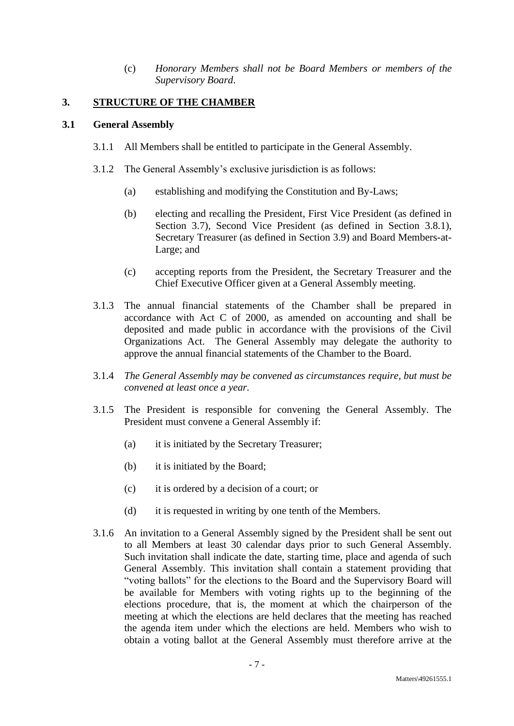(c) *Honorary Members shall not be Board Members or members of the Supervisory Board*.

## **3. STRUCTURE OF THE CHAMBER**

### <span id="page-8-0"></span>**3.1 General Assembly**

- 3.1.1 All Members shall be entitled to participate in the General Assembly.
- 3.1.2 The General Assembly's exclusive jurisdiction is as follows:
	- (a) establishing and modifying the Constitution and By-Laws;
	- (b) electing and recalling the President, First Vice President (as defined in Section [3.7\)](#page-14-0), Second Vice President (as defined in Section [3.8.1\)](#page-14-1), Secretary Treasurer (as defined in Section [3.9\)](#page-14-2) and Board Members-at-Large; and
	- (c) accepting reports from the President, the Secretary Treasurer and the Chief Executive Officer given at a General Assembly meeting.
- 3.1.3 The annual financial statements of the Chamber shall be prepared in accordance with Act C of 2000, as amended on accounting and shall be deposited and made public in accordance with the provisions of the Civil Organizations Act. The General Assembly may delegate the authority to approve the annual financial statements of the Chamber to the Board.
- 3.1.4 *The General Assembly may be convened as circumstances require, but must be convened at least once a year.*
- 3.1.5 The President is responsible for convening the General Assembly. The President must convene a General Assembly if:
	- (a) it is initiated by the Secretary Treasurer;
	- (b) it is initiated by the Board;
	- (c) it is ordered by a decision of a court; or
	- (d) it is requested in writing by one tenth of the Members.
- 3.1.6 An invitation to a General Assembly signed by the President shall be sent out to all Members at least 30 calendar days prior to such General Assembly. Such invitation shall indicate the date, starting time, place and agenda of such General Assembly. This invitation shall contain a statement providing that "voting ballots" for the elections to the Board and the Supervisory Board will be available for Members with voting rights up to the beginning of the elections procedure, that is, the moment at which the chairperson of the meeting at which the elections are held declares that the meeting has reached the agenda item under which the elections are held. Members who wish to obtain a voting ballot at the General Assembly must therefore arrive at the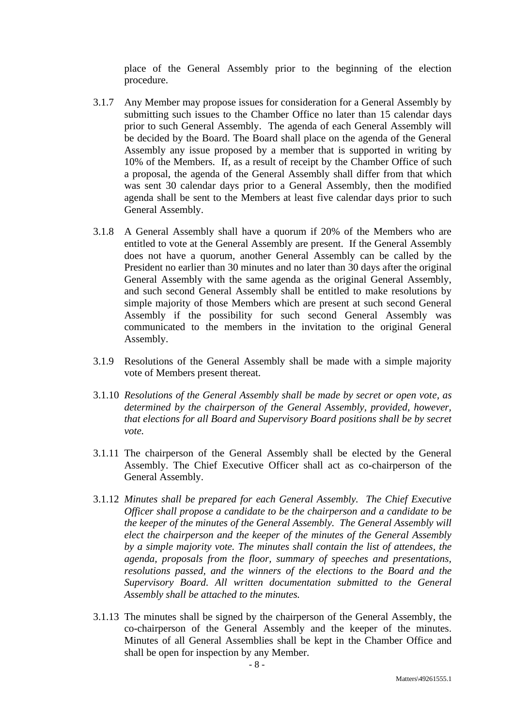place of the General Assembly prior to the beginning of the election procedure.

- 3.1.7 Any Member may propose issues for consideration for a General Assembly by submitting such issues to the Chamber Office no later than 15 calendar days prior to such General Assembly. The agenda of each General Assembly will be decided by the Board. The Board shall place on the agenda of the General Assembly any issue proposed by a member that is supported in writing by 10% of the Members. If, as a result of receipt by the Chamber Office of such a proposal, the agenda of the General Assembly shall differ from that which was sent 30 calendar days prior to a General Assembly, then the modified agenda shall be sent to the Members at least five calendar days prior to such General Assembly.
- 3.1.8 A General Assembly shall have a quorum if 20% of the Members who are entitled to vote at the General Assembly are present. If the General Assembly does not have a quorum, another General Assembly can be called by the President no earlier than 30 minutes and no later than 30 days after the original General Assembly with the same agenda as the original General Assembly, and such second General Assembly shall be entitled to make resolutions by simple majority of those Members which are present at such second General Assembly if the possibility for such second General Assembly was communicated to the members in the invitation to the original General Assembly.
- 3.1.9 Resolutions of the General Assembly shall be made with a simple majority vote of Members present thereat.
- 3.1.10 *Resolutions of the General Assembly shall be made by secret or open vote, as determined by the chairperson of the General Assembly, provided, however, that elections for all Board and Supervisory Board positions shall be by secret vote.*
- 3.1.11 The chairperson of the General Assembly shall be elected by the General Assembly. The Chief Executive Officer shall act as co-chairperson of the General Assembly.
- 3.1.12 *Minutes shall be prepared for each General Assembly. The Chief Executive Officer shall propose a candidate to be the chairperson and a candidate to be the keeper of the minutes of the General Assembly. The General Assembly will elect the chairperson and the keeper of the minutes of the General Assembly by a simple majority vote. The minutes shall contain the list of attendees, the agenda, proposals from the floor, summary of speeches and presentations, resolutions passed, and the winners of the elections to the Board and the Supervisory Board. All written documentation submitted to the General Assembly shall be attached to the minutes.*
- 3.1.13 The minutes shall be signed by the chairperson of the General Assembly, the co-chairperson of the General Assembly and the keeper of the minutes. Minutes of all General Assemblies shall be kept in the Chamber Office and shall be open for inspection by any Member.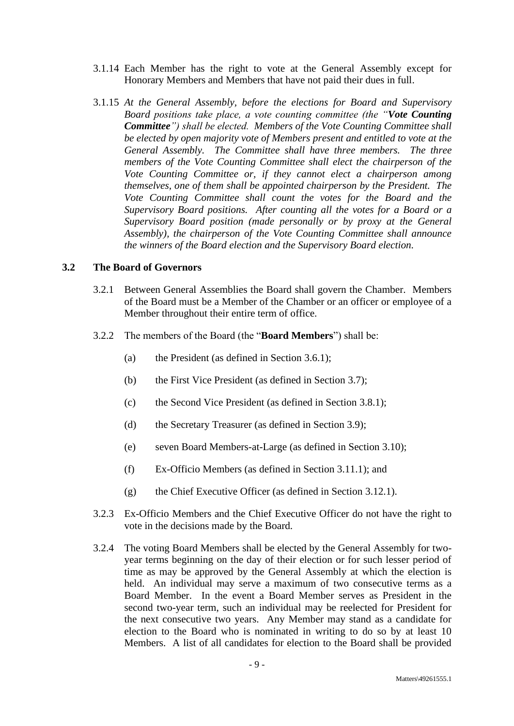- 3.1.14 Each Member has the right to vote at the General Assembly except for Honorary Members and Members that have not paid their dues in full.
- <span id="page-10-6"></span>3.1.15 *At the General Assembly, before the elections for Board and Supervisory Board positions take place, a vote counting committee (the "Vote Counting Committee") shall be elected. Members of the Vote Counting Committee shall be elected by open majority vote of Members present and entitled to vote at the General Assembly. The Committee shall have three members. The three members of the Vote Counting Committee shall elect the chairperson of the Vote Counting Committee or, if they cannot elect a chairperson among themselves, one of them shall be appointed chairperson by the President. The Vote Counting Committee shall count the votes for the Board and the Supervisory Board positions. After counting all the votes for a Board or a Supervisory Board position (made personally or by proxy at the General Assembly), the chairperson of the Vote Counting Committee shall announce the winners of the Board election and the Supervisory Board election.*

#### <span id="page-10-0"></span>**3.2 The Board of Governors**

- 3.2.1 Between General Assemblies the Board shall govern the Chamber. Members of the Board must be a Member of the Chamber or an officer or employee of a Member throughout their entire term of office.
- <span id="page-10-4"></span><span id="page-10-3"></span><span id="page-10-2"></span><span id="page-10-1"></span>3.2.2 The members of the Board (the "**Board Members**") shall be:
	- (a) the President (as defined in Section [3.6.1\)](#page-14-3);
	- (b) the First Vice President (as defined in Section [3.7\)](#page-14-0);
	- (c) the Second Vice President (as defined in Section [3.8.1\)](#page-14-1);
	- (d) the Secretary Treasurer (as defined in Section [3.9\)](#page-14-2);
	- (e) seven Board Members-at-Large (as defined in Section [3.10\)](#page-14-4);
	- (f) Ex-Officio Members (as defined in Section [3.11.1\)](#page-15-1); and
	- (g) the Chief Executive Officer (as defined in Section [3.12.1\)](#page-15-0).
- 3.2.3 Ex-Officio Members and the Chief Executive Officer do not have the right to vote in the decisions made by the Board.
- <span id="page-10-5"></span>3.2.4 The voting Board Members shall be elected by the General Assembly for twoyear terms beginning on the day of their election or for such lesser period of time as may be approved by the General Assembly at which the election is held. An individual may serve a maximum of two consecutive terms as a Board Member. In the event a Board Member serves as President in the second two-year term, such an individual may be reelected for President for the next consecutive two years. Any Member may stand as a candidate for election to the Board who is nominated in writing to do so by at least 10 Members. A list of all candidates for election to the Board shall be provided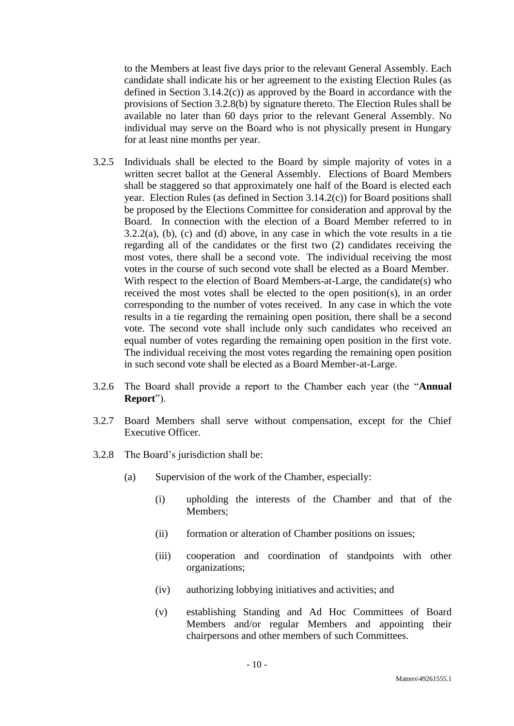to the Members at least five days prior to the relevant General Assembly. Each candidate shall indicate his or her agreement to the existing Election Rules (as defined in Section [3.14.2\(c\)\)](#page-18-1) as approved by the Board in accordance with the provisions of Section [3.2.8\(b\)](#page-12-0) by signature thereto. The Election Rules shall be available no later than 60 days prior to the relevant General Assembly. No individual may serve on the Board who is not physically present in Hungary for at least nine months per year.

- <span id="page-11-0"></span>3.2.5 Individuals shall be elected to the Board by simple majority of votes in a written secret ballot at the General Assembly. Elections of Board Members shall be staggered so that approximately one half of the Board is elected each year. Election Rules (as defined in Section [3.14.2\(c\)\)](#page-18-1) for Board positions shall be proposed by the Elections Committee for consideration and approval by the Board. In connection with the election of a Board Member referred to in  $3.2.2(a)$ , [\(b\),](#page-10-2) [\(c\)](#page-10-3) and [\(d\)](#page-10-4) above, in any case in which the vote results in a tie regarding all of the candidates or the first two (2) candidates receiving the most votes, there shall be a second vote. The individual receiving the most votes in the course of such second vote shall be elected as a Board Member. With respect to the election of Board Members-at-Large, the candidate(s) who received the most votes shall be elected to the open position(s), in an order corresponding to the number of votes received. In any case in which the vote results in a tie regarding the remaining open position, there shall be a second vote. The second vote shall include only such candidates who received an equal number of votes regarding the remaining open position in the first vote. The individual receiving the most votes regarding the remaining open position in such second vote shall be elected as a Board Member-at-Large.
- 3.2.6 The Board shall provide a report to the Chamber each year (the "**Annual Report**").
- 3.2.7 Board Members shall serve without compensation, except for the Chief Executive Officer.
- 3.2.8 The Board's jurisdiction shall be:
	- (a) Supervision of the work of the Chamber, especially:
		- (i) upholding the interests of the Chamber and that of the Members;
		- (ii) formation or alteration of Chamber positions on issues;
		- (iii) cooperation and coordination of standpoints with other organizations;
		- (iv) authorizing lobbying initiatives and activities; and
		- (v) establishing Standing and Ad Hoc Committees of Board Members and/or regular Members and appointing their chairpersons and other members of such Committees.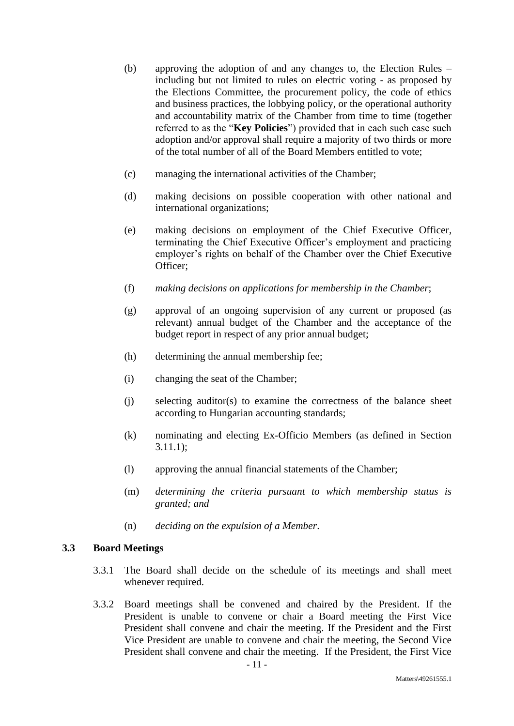- <span id="page-12-0"></span>(b) approving the adoption of and any changes to, the Election Rules – including but not limited to rules on electric voting - as proposed by the Elections Committee, the procurement policy, the code of ethics and business practices, the lobbying policy, or the operational authority and accountability matrix of the Chamber from time to time (together referred to as the "**Key Policies**") provided that in each such case such adoption and/or approval shall require a majority of two thirds or more of the total number of all of the Board Members entitled to vote;
- (c) managing the international activities of the Chamber;
- (d) making decisions on possible cooperation with other national and international organizations;
- (e) making decisions on employment of the Chief Executive Officer, terminating the Chief Executive Officer's employment and practicing employer's rights on behalf of the Chamber over the Chief Executive Officer;
- (f) *making decisions on applications for membership in the Chamber*;
- (g) approval of an ongoing supervision of any current or proposed (as relevant) annual budget of the Chamber and the acceptance of the budget report in respect of any prior annual budget;
- (h) determining the annual membership fee;
- (i) changing the seat of the Chamber;
- (j) selecting auditor(s) to examine the correctness of the balance sheet according to Hungarian accounting standards;
- (k) nominating and electing Ex-Officio Members (as defined in Section [3.11.1\)](#page-15-1);
- (l) approving the annual financial statements of the Chamber;
- (m) *determining the criteria pursuant to which membership status is granted; and*
- (n) *deciding on the expulsion of a Member*.

## <span id="page-12-1"></span>**3.3 Board Meetings**

- 3.3.1 The Board shall decide on the schedule of its meetings and shall meet whenever required.
- 3.3.2 Board meetings shall be convened and chaired by the President. If the President is unable to convene or chair a Board meeting the First Vice President shall convene and chair the meeting. If the President and the First Vice President are unable to convene and chair the meeting, the Second Vice President shall convene and chair the meeting. If the President, the First Vice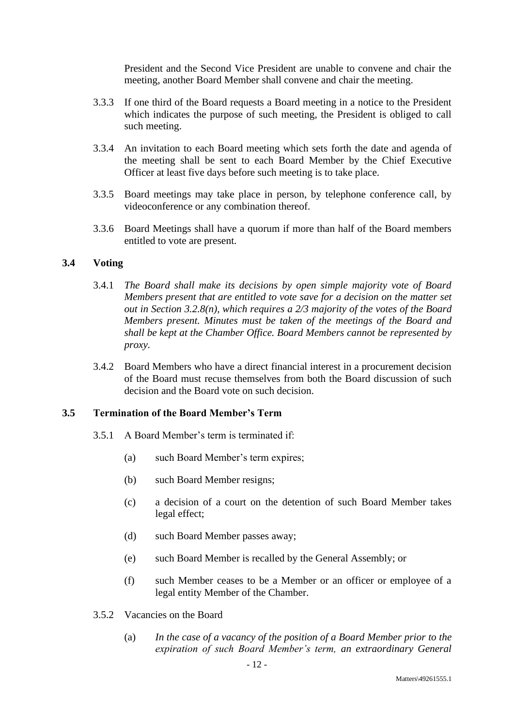President and the Second Vice President are unable to convene and chair the meeting, another Board Member shall convene and chair the meeting.

- 3.3.3 If one third of the Board requests a Board meeting in a notice to the President which indicates the purpose of such meeting, the President is obliged to call such meeting.
- 3.3.4 An invitation to each Board meeting which sets forth the date and agenda of the meeting shall be sent to each Board Member by the Chief Executive Officer at least five days before such meeting is to take place.
- 3.3.5 Board meetings may take place in person, by telephone conference call, by videoconference or any combination thereof.
- 3.3.6 Board Meetings shall have a quorum if more than half of the Board members entitled to vote are present.

#### **3.4 Voting**

- 3.4.1 *The Board shall make its decisions by open simple majority vote of Board Members present that are entitled to vote save for a decision on the matter set out in Section [3.2.8\(n\),](#page-12-1) which requires a 2/3 majority of the votes of the Board Members present. Minutes must be taken of the meetings of the Board and shall be kept at the Chamber Office. Board Members cannot be represented by proxy.*
- 3.4.2 Board Members who have a direct financial interest in a procurement decision of the Board must recuse themselves from both the Board discussion of such decision and the Board vote on such decision.

## <span id="page-13-0"></span>**3.5 Termination of the Board Member's Term**

- 3.5.1 A Board Member's term is terminated if:
	- (a) such Board Member's term expires;
	- (b) such Board Member resigns;
	- (c) a decision of a court on the detention of such Board Member takes legal effect;
	- (d) such Board Member passes away;
	- (e) such Board Member is recalled by the General Assembly; or
	- (f) such Member ceases to be a Member or an officer or employee of a legal entity Member of the Chamber.
- 3.5.2 Vacancies on the Board
	- (a) *In the case of a vacancy of the position of a Board Member prior to the expiration of such Board Member's term, an extraordinary General*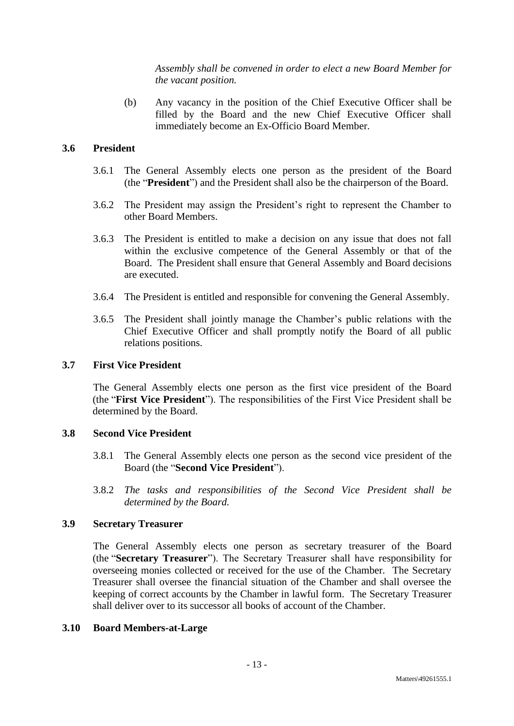*Assembly shall be convened in order to elect a new Board Member for the vacant position.*

(b) Any vacancy in the position of the Chief Executive Officer shall be filled by the Board and the new Chief Executive Officer shall immediately become an Ex-Officio Board Member.

# <span id="page-14-3"></span>**3.6 President**

- 3.6.1 The General Assembly elects one person as the president of the Board (the "**President**") and the President shall also be the chairperson of the Board.
- 3.6.2 The President may assign the President's right to represent the Chamber to other Board Members.
- 3.6.3 The President is entitled to make a decision on any issue that does not fall within the exclusive competence of the General Assembly or that of the Board. The President shall ensure that General Assembly and Board decisions are executed.
- 3.6.4 The President is entitled and responsible for convening the General Assembly.
- 3.6.5 The President shall jointly manage the Chamber's public relations with the Chief Executive Officer and shall promptly notify the Board of all public relations positions.

## <span id="page-14-0"></span>**3.7 First Vice President**

The General Assembly elects one person as the first vice president of the Board (the "**First Vice President**"). The responsibilities of the First Vice President shall be determined by the Board.

## <span id="page-14-1"></span>**3.8 Second Vice President**

- 3.8.1 The General Assembly elects one person as the second vice president of the Board (the "**Second Vice President**").
- 3.8.2 *The tasks and responsibilities of the Second Vice President shall be determined by the Board.*

## <span id="page-14-2"></span>**3.9 Secretary Treasurer**

The General Assembly elects one person as secretary treasurer of the Board (the "**Secretary Treasurer**"). The Secretary Treasurer shall have responsibility for overseeing monies collected or received for the use of the Chamber. The Secretary Treasurer shall oversee the financial situation of the Chamber and shall oversee the keeping of correct accounts by the Chamber in lawful form. The Secretary Treasurer shall deliver over to its successor all books of account of the Chamber.

## <span id="page-14-4"></span>**3.10 Board Members-at-Large**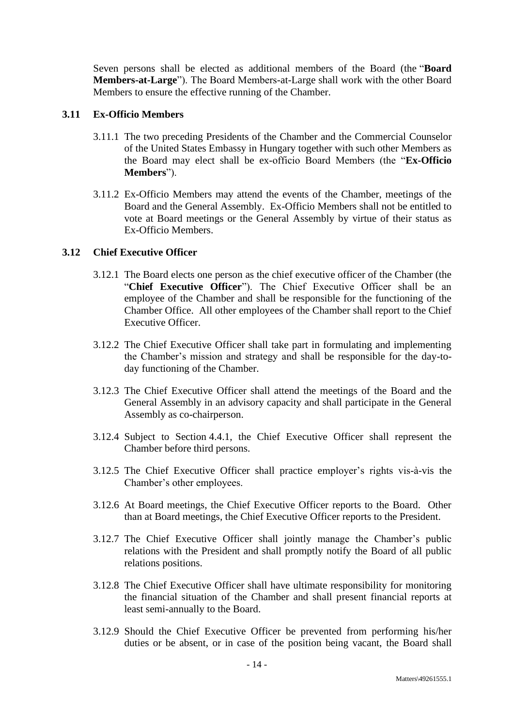Seven persons shall be elected as additional members of the Board (the "**Board Members-at-Large**"). The Board Members-at-Large shall work with the other Board Members to ensure the effective running of the Chamber.

## <span id="page-15-1"></span>**3.11 Ex-Officio Members**

- 3.11.1 The two preceding Presidents of the Chamber and the Commercial Counselor of the United States Embassy in Hungary together with such other Members as the Board may elect shall be ex-officio Board Members (the "**Ex-Officio Members**").
- 3.11.2 Ex-Officio Members may attend the events of the Chamber, meetings of the Board and the General Assembly. Ex-Officio Members shall not be entitled to vote at Board meetings or the General Assembly by virtue of their status as Ex-Officio Members.

## <span id="page-15-0"></span>**3.12 Chief Executive Officer**

- 3.12.1 The Board elects one person as the chief executive officer of the Chamber (the "**Chief Executive Officer**"). The Chief Executive Officer shall be an employee of the Chamber and shall be responsible for the functioning of the Chamber Office. All other employees of the Chamber shall report to the Chief Executive Officer.
- 3.12.2 The Chief Executive Officer shall take part in formulating and implementing the Chamber's mission and strategy and shall be responsible for the day-today functioning of the Chamber.
- 3.12.3 The Chief Executive Officer shall attend the meetings of the Board and the General Assembly in an advisory capacity and shall participate in the General Assembly as co-chairperson.
- 3.12.4 Subject to Section [4.4.1,](#page-20-0) the Chief Executive Officer shall represent the Chamber before third persons.
- 3.12.5 The Chief Executive Officer shall practice employer's rights vis-à-vis the Chamber's other employees.
- 3.12.6 At Board meetings, the Chief Executive Officer reports to the Board. Other than at Board meetings, the Chief Executive Officer reports to the President.
- 3.12.7 The Chief Executive Officer shall jointly manage the Chamber's public relations with the President and shall promptly notify the Board of all public relations positions.
- 3.12.8 The Chief Executive Officer shall have ultimate responsibility for monitoring the financial situation of the Chamber and shall present financial reports at least semi-annually to the Board.
- 3.12.9 Should the Chief Executive Officer be prevented from performing his/her duties or be absent, or in case of the position being vacant, the Board shall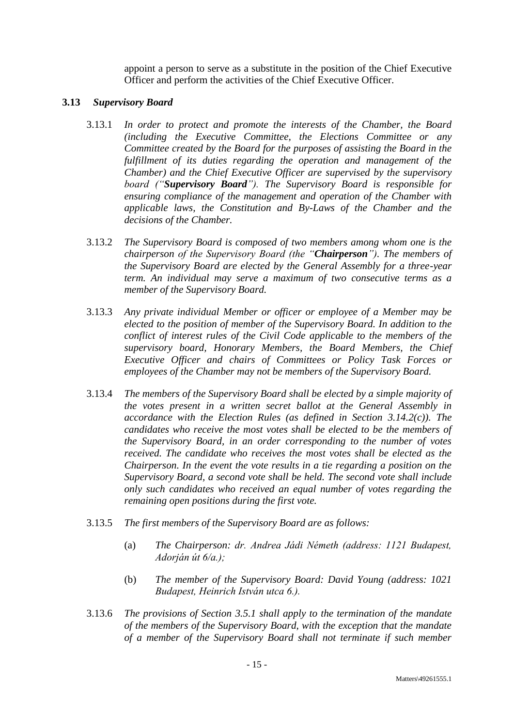appoint a person to serve as a substitute in the position of the Chief Executive Officer and perform the activities of the Chief Executive Officer.

#### **3.13** *Supervisory Board*

- 3.13.1 *In order to protect and promote the interests of the Chamber, the Board (including the Executive Committee, the Elections Committee or any Committee created by the Board for the purposes of assisting the Board in the fulfillment of its duties regarding the operation and management of the Chamber) and the Chief Executive Officer are supervised by the supervisory board ("Supervisory Board"). The Supervisory Board is responsible for ensuring compliance of the management and operation of the Chamber with applicable laws, the Constitution and By-Laws of the Chamber and the decisions of the Chamber.*
- 3.13.2 *The Supervisory Board is composed of two members among whom one is the chairperson of the Supervisory Board (the "Chairperson"). The members of the Supervisory Board are elected by the General Assembly for a three-year term. An individual may serve a maximum of two consecutive terms as a member of the Supervisory Board.*
- 3.13.3 *Any private individual Member or officer or employee of a Member may be elected to the position of member of the Supervisory Board. In addition to the conflict of interest rules of the Civil Code applicable to the members of the supervisory board, Honorary Members, the Board Members, the Chief Executive Officer and chairs of Committees or Policy Task Forces or employees of the Chamber may not be members of the Supervisory Board.*
- <span id="page-16-0"></span>3.13.4 *The members of the Supervisory Board shall be elected by a simple majority of the votes present in a written secret ballot at the General Assembly in accordance with the Election Rules (as defined in Section [3.14.2\(c\)\)](#page-18-1). The candidates who receive the most votes shall be elected to be the members of the Supervisory Board, in an order corresponding to the number of votes received. The candidate who receives the most votes shall be elected as the Chairperson. In the event the vote results in a tie regarding a position on the Supervisory Board, a second vote shall be held. The second vote shall include only such candidates who received an equal number of votes regarding the remaining open positions during the first vote.*
- 3.13.5 *The first members of the Supervisory Board are as follows:*
	- (a) *The Chairperson: dr. Andrea Jádi Németh (address: 1121 Budapest, Adorján út 6/a.);*
	- (b) *The member of the Supervisory Board: David Young (address: 1021 Budapest, Heinrich István utca 6.).*
- 3.13.6 *The provisions of Section [3.5.1](#page-13-0) shall apply to the termination of the mandate of the members of the Supervisory Board, with the exception that the mandate of a member of the Supervisory Board shall not terminate if such member*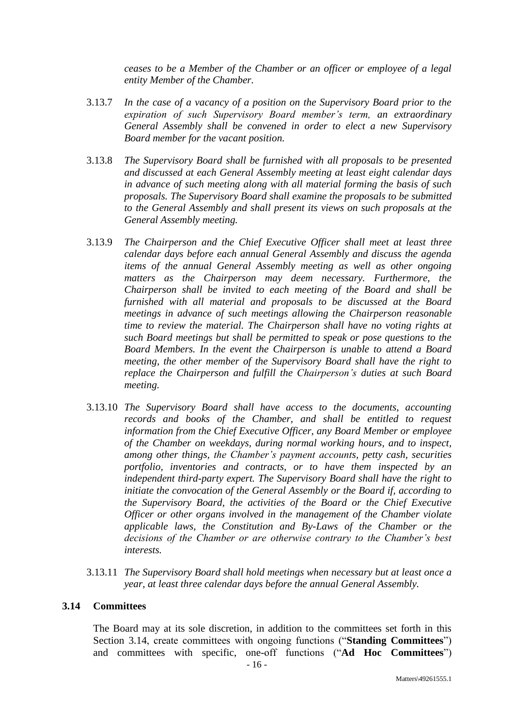*ceases to be a Member of the Chamber or an officer or employee of a legal entity Member of the Chamber.*

- 3.13.7 *In the case of a vacancy of a position on the Supervisory Board prior to the expiration of such Supervisory Board member's term, an extraordinary General Assembly shall be convened in order to elect a new Supervisory Board member for the vacant position.*
- 3.13.8 *The Supervisory Board shall be furnished with all proposals to be presented and discussed at each General Assembly meeting at least eight calendar days in advance of such meeting along with all material forming the basis of such proposals. The Supervisory Board shall examine the proposals to be submitted to the General Assembly and shall present its views on such proposals at the General Assembly meeting.*
- 3.13.9 *The Chairperson and the Chief Executive Officer shall meet at least three calendar days before each annual General Assembly and discuss the agenda items of the annual General Assembly meeting as well as other ongoing matters as the Chairperson may deem necessary. Furthermore, the Chairperson shall be invited to each meeting of the Board and shall be furnished with all material and proposals to be discussed at the Board meetings in advance of such meetings allowing the Chairperson reasonable time to review the material. The Chairperson shall have no voting rights at such Board meetings but shall be permitted to speak or pose questions to the Board Members. In the event the Chairperson is unable to attend a Board meeting, the other member of the Supervisory Board shall have the right to replace the Chairperson and fulfill the Chairperson's duties at such Board meeting.*
- 3.13.10 *The Supervisory Board shall have access to the documents, accounting records and books of the Chamber, and shall be entitled to request information from the Chief Executive Officer, any Board Member or employee of the Chamber on weekdays, during normal working hours, and to inspect, among other things, the Chamber's payment accounts, petty cash, securities portfolio, inventories and contracts, or to have them inspected by an independent third-party expert. The Supervisory Board shall have the right to initiate the convocation of the General Assembly or the Board if, according to the Supervisory Board, the activities of the Board or the Chief Executive Officer or other organs involved in the management of the Chamber violate applicable laws, the Constitution and By-Laws of the Chamber or the decisions of the Chamber or are otherwise contrary to the Chamber's best interests.*
- 3.13.11 *The Supervisory Board shall hold meetings when necessary but at least once a year, at least three calendar days before the annual General Assembly.*

#### <span id="page-17-0"></span>**3.14 Committees**

The Board may at its sole discretion, in addition to the committees set forth in this Section [3.14,](#page-17-0) create committees with ongoing functions ("**Standing Committees**") and committees with specific, one-off functions ("**Ad Hoc Committees**")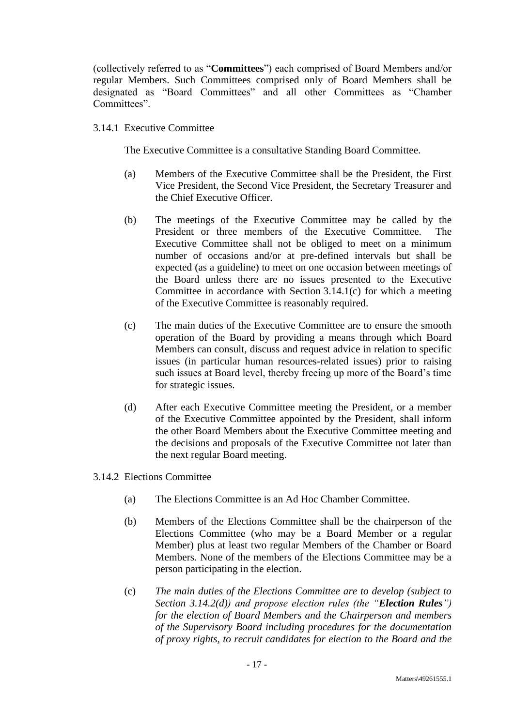(collectively referred to as "**Committees**") each comprised of Board Members and/or regular Members. Such Committees comprised only of Board Members shall be designated as "Board Committees" and all other Committees as "Chamber Committees".

# 3.14.1 Executive Committee

The Executive Committee is a consultative Standing Board Committee.

- (a) Members of the Executive Committee shall be the President, the First Vice President, the Second Vice President, the Secretary Treasurer and the Chief Executive Officer.
- (b) The meetings of the Executive Committee may be called by the President or three members of the Executive Committee. The Executive Committee shall not be obliged to meet on a minimum number of occasions and/or at pre-defined intervals but shall be expected (as a guideline) to meet on one occasion between meetings of the Board unless there are no issues presented to the Executive Committee in accordance with Section [3.14.1\(c\)](#page-18-2) for which a meeting of the Executive Committee is reasonably required.
- <span id="page-18-2"></span>(c) The main duties of the Executive Committee are to ensure the smooth operation of the Board by providing a means through which Board Members can consult, discuss and request advice in relation to specific issues (in particular human resources-related issues) prior to raising such issues at Board level, thereby freeing up more of the Board's time for strategic issues.
- (d) After each Executive Committee meeting the President, or a member of the Executive Committee appointed by the President, shall inform the other Board Members about the Executive Committee meeting and the decisions and proposals of the Executive Committee not later than the next regular Board meeting.
- <span id="page-18-1"></span><span id="page-18-0"></span>3.14.2 Elections Committee
	- (a) The Elections Committee is an Ad Hoc Chamber Committee.
	- (b) Members of the Elections Committee shall be the chairperson of the Elections Committee (who may be a Board Member or a regular Member) plus at least two regular Members of the Chamber or Board Members. None of the members of the Elections Committee may be a person participating in the election.
	- (c) *The main duties of the Elections Committee are to develop (subject to Section [3.14.2\(d\)\)](#page-19-1) and propose election rules (the "Election Rules") for the election of Board Members and the Chairperson and members of the Supervisory Board including procedures for the documentation of proxy rights, to recruit candidates for election to the Board and the*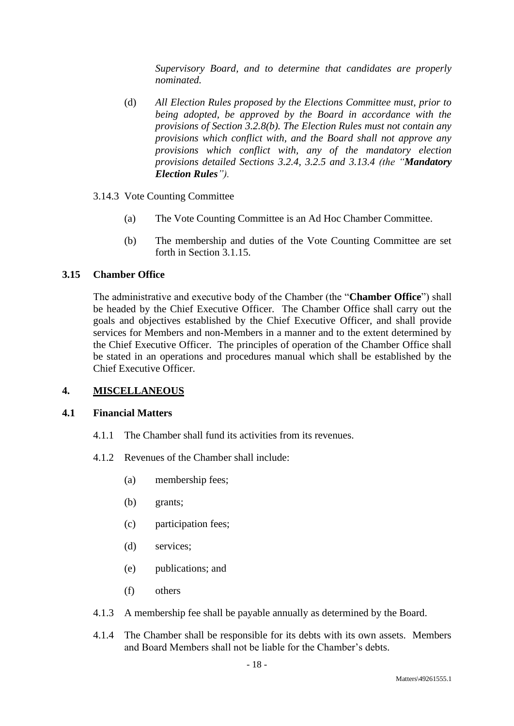*Supervisory Board, and to determine that candidates are properly nominated.*

- <span id="page-19-1"></span>(d) *All Election Rules proposed by the Elections Committee must, prior to being adopted, be approved by the Board in accordance with the provisions of Section [3.2.8\(b\).](#page-12-0) The Election Rules must not contain any provisions which conflict with, and the Board shall not approve any provisions which conflict with, any of the mandatory election provisions detailed Sections [3.2.4,](#page-10-5) [3.2.5](#page-11-0) and [3.13.4](#page-16-0) (the "Mandatory Election Rules").*
- 3.14.3 Vote Counting Committee
	- (a) The Vote Counting Committee is an Ad Hoc Chamber Committee.
	- (b) The membership and duties of the Vote Counting Committee are set forth in Section [3.1.15.](#page-10-6)

# <span id="page-19-0"></span>**3.15 Chamber Office**

The administrative and executive body of the Chamber (the "**Chamber Office**") shall be headed by the Chief Executive Officer. The Chamber Office shall carry out the goals and objectives established by the Chief Executive Officer, and shall provide services for Members and non-Members in a manner and to the extent determined by the Chief Executive Officer. The principles of operation of the Chamber Office shall be stated in an operations and procedures manual which shall be established by the Chief Executive Officer.

## **4. MISCELLANEOUS**

## **4.1 Financial Matters**

- 4.1.1 The Chamber shall fund its activities from its revenues.
- 4.1.2 Revenues of the Chamber shall include:
	- (a) membership fees;
	- (b) grants;
	- (c) participation fees;
	- (d) services;
	- (e) publications; and
	- (f) others
- 4.1.3 A membership fee shall be payable annually as determined by the Board.
- 4.1.4 The Chamber shall be responsible for its debts with its own assets. Members and Board Members shall not be liable for the Chamber's debts.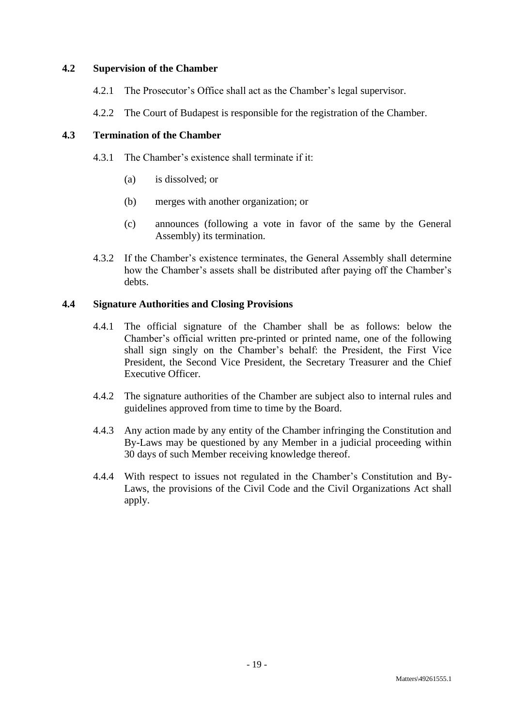## **4.2 Supervision of the Chamber**

- 4.2.1 The Prosecutor's Office shall act as the Chamber's legal supervisor.
- 4.2.2 The Court of Budapest is responsible for the registration of the Chamber.

# **4.3 Termination of the Chamber**

- 4.3.1 The Chamber's existence shall terminate if it:
	- (a) is dissolved; or
	- (b) merges with another organization; or
	- (c) announces (following a vote in favor of the same by the General Assembly) its termination.
- 4.3.2 If the Chamber's existence terminates, the General Assembly shall determine how the Chamber's assets shall be distributed after paying off the Chamber's debts.

# <span id="page-20-0"></span>**4.4 Signature Authorities and Closing Provisions**

- 4.4.1 The official signature of the Chamber shall be as follows: below the Chamber's official written pre-printed or printed name, one of the following shall sign singly on the Chamber's behalf: the President, the First Vice President, the Second Vice President, the Secretary Treasurer and the Chief Executive Officer.
- 4.4.2 The signature authorities of the Chamber are subject also to internal rules and guidelines approved from time to time by the Board.
- 4.4.3 Any action made by any entity of the Chamber infringing the Constitution and By-Laws may be questioned by any Member in a judicial proceeding within 30 days of such Member receiving knowledge thereof.
- 4.4.4 With respect to issues not regulated in the Chamber's Constitution and By-Laws, the provisions of the Civil Code and the Civil Organizations Act shall apply.